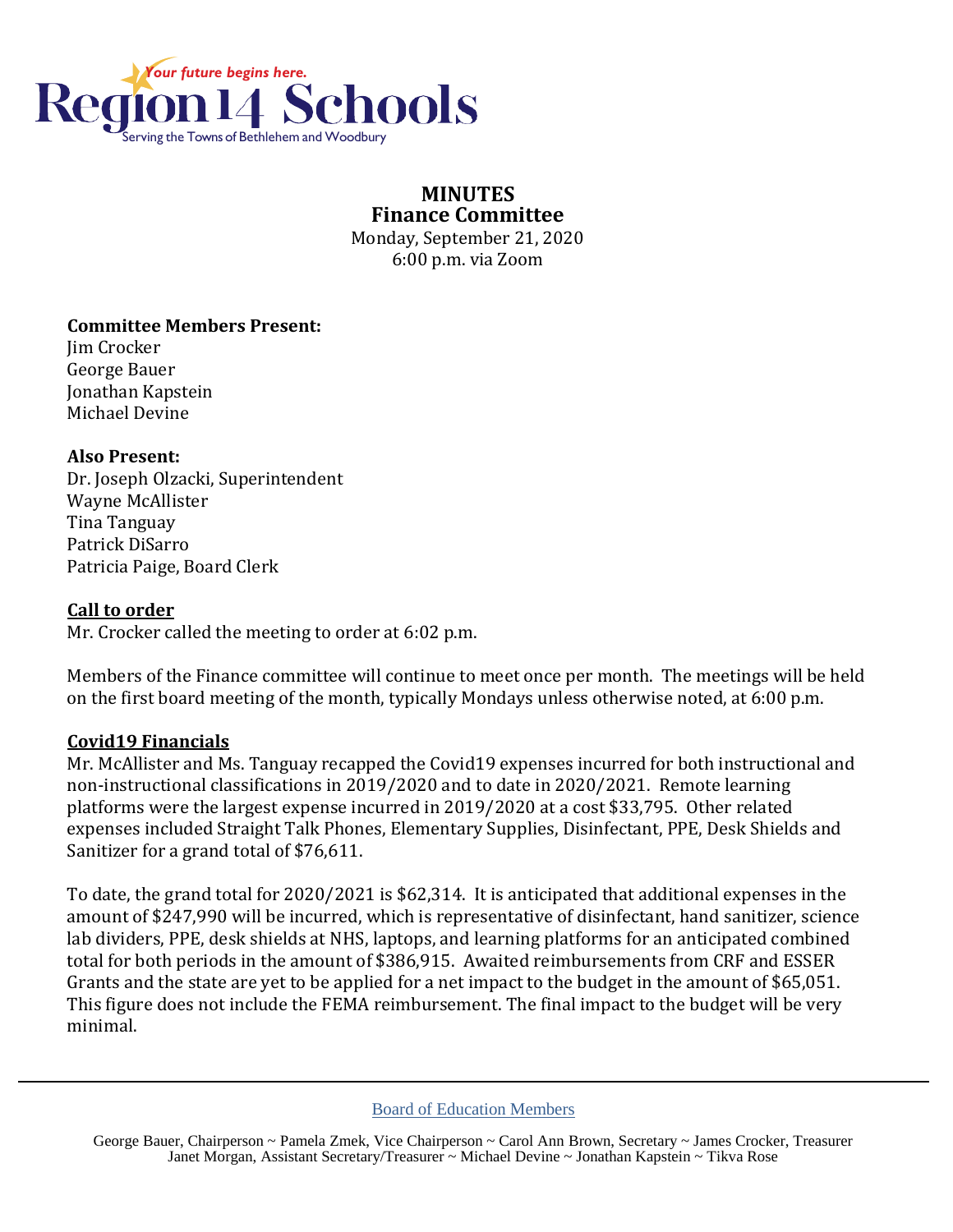

#### **MINUTES Finance Committee** Monday, September 21, 2020

6:00 p.m. via Zoom

# **Committee Members Present:**

Jim Crocker George Bauer Jonathan Kapstein Michael Devine

# **Also Present:**

Dr. Joseph Olzacki, Superintendent Wayne McAllister Tina Tanguay Patrick DiSarro Patricia Paige, Board Clerk

#### **Call to order**

Mr. Crocker called the meeting to order at 6:02 p.m.

Members of the Finance committee will continue to meet once per month. The meetings will be held on the first board meeting of the month, typically Mondays unless otherwise noted, at 6:00 p.m.

# **Covid19 Financials**

Mr. McAllister and Ms. Tanguay recapped the Covid19 expenses incurred for both instructional and non-instructional classifications in 2019/2020 and to date in 2020/2021. Remote learning platforms were the largest expense incurred in 2019/2020 at a cost \$33,795. Other related expenses included Straight Talk Phones, Elementary Supplies, Disinfectant, PPE, Desk Shields and Sanitizer for a grand total of \$76,611.

To date, the grand total for 2020/2021 is \$62,314. It is anticipated that additional expenses in the amount of \$247,990 will be incurred, which is representative of disinfectant, hand sanitizer, science lab dividers, PPE, desk shields at NHS, laptops, and learning platforms for an anticipated combined total for both periods in the amount of \$386,915. Awaited reimbursements from CRF and ESSER Grants and the state are yet to be applied for a net impact to the budget in the amount of \$65,051. This figure does not include the FEMA reimbursement. The final impact to the budget will be very minimal.

George Bauer, Chairperson ~ Pamela Zmek, Vice Chairperson ~ Carol Ann Brown, Secretary ~ James Crocker, Treasurer Janet Morgan, Assistant Secretary/Treasurer ~ Michael Devine ~ Jonathan Kapstein ~ Tikva Rose